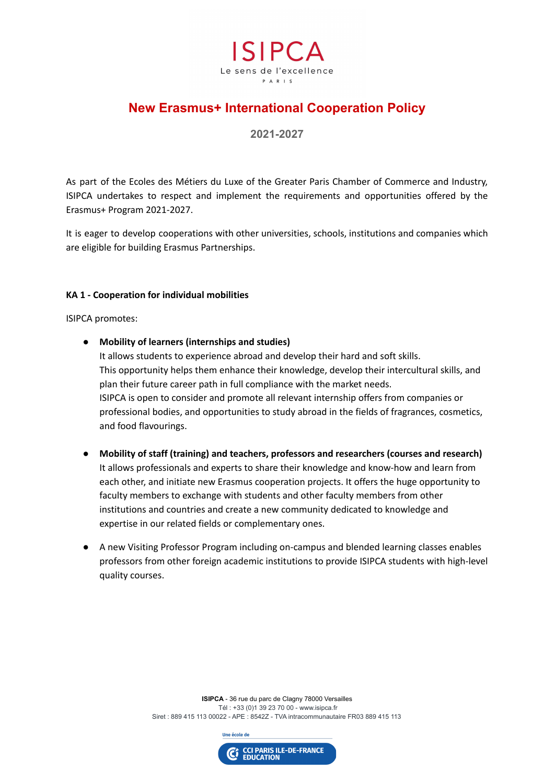

## **New Erasmus+ International Cooperation Policy**

**2021-2027**

As part of the Ecoles des Métiers du Luxe of the Greater Paris Chamber of Commerce and Industry, ISIPCA undertakes to respect and implement the requirements and opportunities offered by the Erasmus+ Program 2021-2027.

It is eager to develop cooperations with other universities, schools, institutions and companies which are eligible for building Erasmus Partnerships.

## **KA 1 - Cooperation for individual mobilities**

ISIPCA promotes:

- **Mobility of learners (internships and studies)** It allows students to experience abroad and develop their hard and soft skills. This opportunity helps them enhance their knowledge, develop their intercultural skills, and plan their future career path in full compliance with the market needs. ISIPCA is open to consider and promote all relevant internship offers from companies or professional bodies, and opportunities to study abroad in the fields of fragrances, cosmetics, and food flavourings.
- **Mobility of staff (training) and teachers, professors and researchers (courses and research)** It allows professionals and experts to share their knowledge and know-how and learn from each other, and initiate new Erasmus cooperation projects. It offers the huge opportunity to faculty members to exchange with students and other faculty members from other institutions and countries and create a new community dedicated to knowledge and expertise in our related fields or complementary ones.
- A new Visiting Professor Program including on-campus and blended learning classes enables professors from other foreign academic institutions to provide ISIPCA students with high-level quality courses.

**ISIPCA** - 36 rue du parc de Clagny 78000 Versailles Tél : +33 (0)1 39 23 70 00 - www.isipca.fr Siret : 889 415 113 00022 - APE : 8542Z - TVA intracommunautaire FR03 889 415 113



Une école de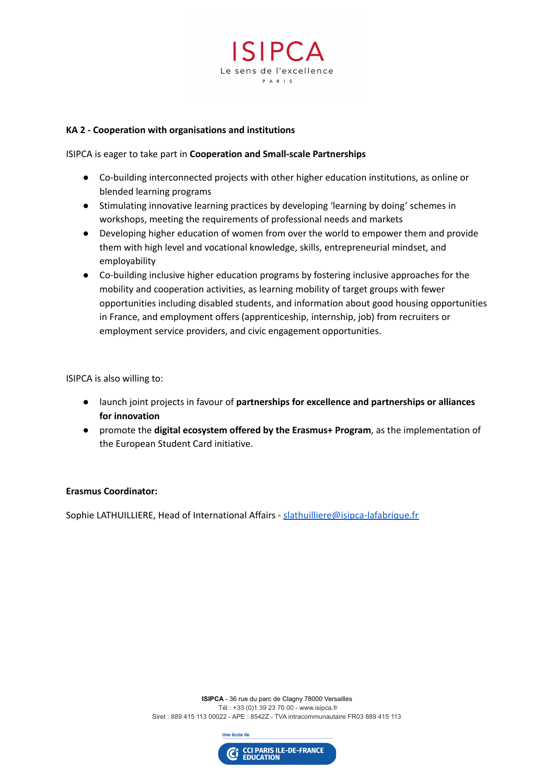

## **KA 2 - Cooperation with organisations and institutions**

ISIPCA is eager to take part in **Cooperation and Small-scale Partnerships**

- Co-building interconnected projects with other higher education institutions, as online or blended learning programs
- Stimulating innovative learning practices by developing 'learning by doing' schemes in workshops, meeting the requirements of professional needs and markets
- Developing higher education of women from over the world to empower them and provide them with high level and vocational knowledge, skills, entrepreneurial mindset, and employability
- Co-building inclusive higher education programs by fostering inclusive approaches for the mobility and cooperation activities, as learning mobility of target groups with fewer opportunities including disabled students, and information about good housing opportunities in France, and employment offers (apprenticeship, internship, job) from recruiters or employment service providers, and civic engagement opportunities.

ISIPCA is also willing to:

- launch joint projects in favour of **partnerships for excellence and partnerships or alliances for innovation**
- promote the **digital ecosystem offered by the Erasmus+ Program**, as the implementation of the European Student Card initiative.

## **Erasmus Coordinator:**

Sophie LATHUILLIERE, Head of International Affairs - [slathuilliere@isipca-lafabrique.fr](mailto:slathuilliere@isipca-lafabrique.fr)

**ISIPCA** - 36 rue du parc de Clagny 78000 Versailles Tél : +33 (0)1 39 23 70 00 - www.isipca.fr Siret : 889 415 113 00022 - APE : 8542Z - TVA intracommunautaire FR03 889 415 113